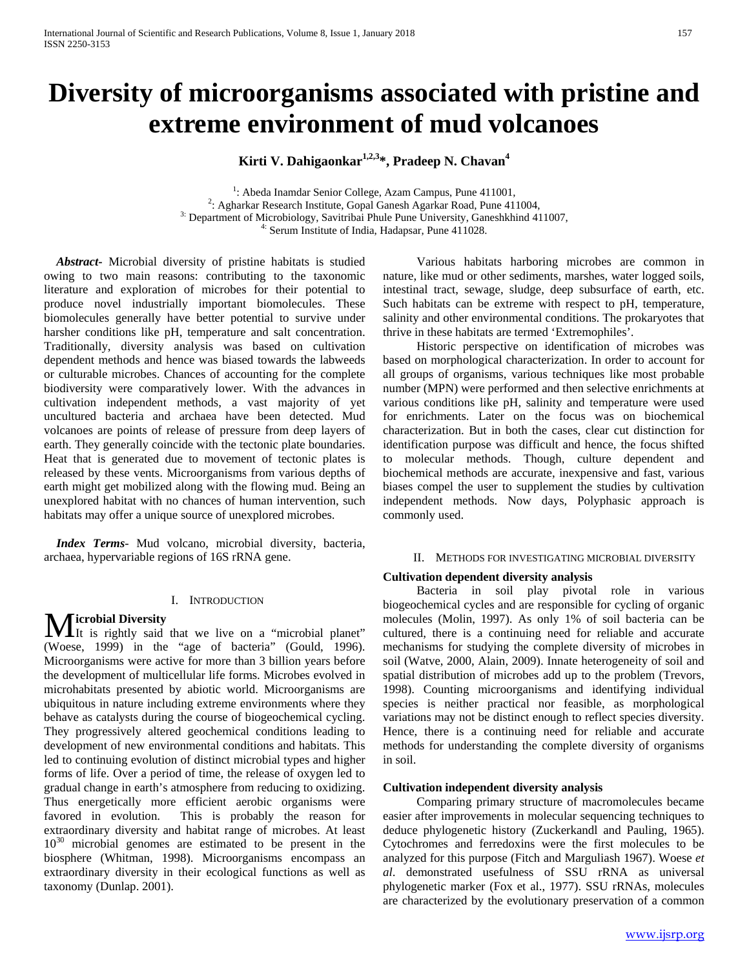# **Diversity of microorganisms associated with pristine and extreme environment of mud volcanoes**

Kirti V. Dahigaonkar<sup>1,2,3</sup>\*, Pradeep N. Chavan<sup>4</sup>

<sup>1</sup>: Abeda Inamdar Senior College, Azam Campus, Pune 411001, <sup>2</sup>: Agharkar Research Institute, Gopal Ganesh Agarkar Road, Pune 411004, 3: Department of Microbiology, Savitribai Phule Pune University, Ganeshkhind 411007,  $\frac{4!}{1000}$  Serum Institute of India, Hadapsar, Pune 411028.

 *Abstract***-** Microbial diversity of pristine habitats is studied owing to two main reasons: contributing to the taxonomic literature and exploration of microbes for their potential to produce novel industrially important biomolecules. These biomolecules generally have better potential to survive under harsher conditions like pH, temperature and salt concentration. Traditionally, diversity analysis was based on cultivation dependent methods and hence was biased towards the labweeds or culturable microbes. Chances of accounting for the complete biodiversity were comparatively lower. With the advances in cultivation independent methods, a vast majority of yet uncultured bacteria and archaea have been detected. Mud volcanoes are points of release of pressure from deep layers of earth. They generally coincide with the tectonic plate boundaries. Heat that is generated due to movement of tectonic plates is released by these vents. Microorganisms from various depths of earth might get mobilized along with the flowing mud. Being an unexplored habitat with no chances of human intervention, such habitats may offer a unique source of unexplored microbes.

 *Index Terms*- Mud volcano, microbial diversity, bacteria, archaea, hypervariable regions of 16S rRNA gene.

#### I. INTRODUCTION

# **icrobial Diversity**

**M** is rightly said that we live on a "microbial planet" (Woese, 1999) in the "age of bacteria" (Gould, 1996). Microorganisms were active for more than 3 billion years before the development of multicellular life forms. Microbes evolved in microhabitats presented by abiotic world. Microorganisms are ubiquitous in nature including extreme environments where they behave as catalysts during the course of biogeochemical cycling. They progressively altered geochemical conditions leading to development of new environmental conditions and habitats. This led to continuing evolution of distinct microbial types and higher forms of life. Over a period of time, the release of oxygen led to gradual change in earth's atmosphere from reducing to oxidizing. Thus energetically more efficient aerobic organisms were favored in evolution. This is probably the reason for extraordinary diversity and habitat range of microbes. At least  $10^{30}$  microbial genomes are estimated to be present in the biosphere (Whitman, 1998). Microorganisms encompass an extraordinary diversity in their ecological functions as well as taxonomy (Dunlap. 2001).

 Various habitats harboring microbes are common in nature, like mud or other sediments, marshes, water logged soils, intestinal tract, sewage, sludge, deep subsurface of earth, etc. Such habitats can be extreme with respect to pH, temperature, salinity and other environmental conditions. The prokaryotes that thrive in these habitats are termed 'Extremophiles'.

 Historic perspective on identification of microbes was based on morphological characterization. In order to account for all groups of organisms, various techniques like most probable number (MPN) were performed and then selective enrichments at various conditions like pH, salinity and temperature were used for enrichments. Later on the focus was on biochemical characterization. But in both the cases, clear cut distinction for identification purpose was difficult and hence, the focus shifted to molecular methods. Though, culture dependent and biochemical methods are accurate, inexpensive and fast, various biases compel the user to supplement the studies by cultivation independent methods. Now days, Polyphasic approach is commonly used.

#### II. METHODS FOR INVESTIGATING MICROBIAL DIVERSITY

## **Cultivation dependent diversity analysis**

 Bacteria in soil play pivotal role in various biogeochemical cycles and are responsible for cycling of organic molecules (Molin, 1997). As only 1% of soil bacteria can be cultured, there is a continuing need for reliable and accurate mechanisms for studying the complete diversity of microbes in soil (Watve, 2000, Alain, 2009). Innate heterogeneity of soil and spatial distribution of microbes add up to the problem (Trevors, 1998). Counting microorganisms and identifying individual species is neither practical nor feasible, as morphological variations may not be distinct enough to reflect species diversity. Hence, there is a continuing need for reliable and accurate methods for understanding the complete diversity of organisms in soil.

#### **Cultivation independent diversity analysis**

 Comparing primary structure of macromolecules became easier after improvements in molecular sequencing techniques to deduce phylogenetic history (Zuckerkandl and Pauling, 1965). Cytochromes and ferredoxins were the first molecules to be analyzed for this purpose (Fitch and Marguliash 1967). Woese *et al*. demonstrated usefulness of SSU rRNA as universal phylogenetic marker (Fox et al., 1977). SSU rRNAs, molecules are characterized by the evolutionary preservation of a common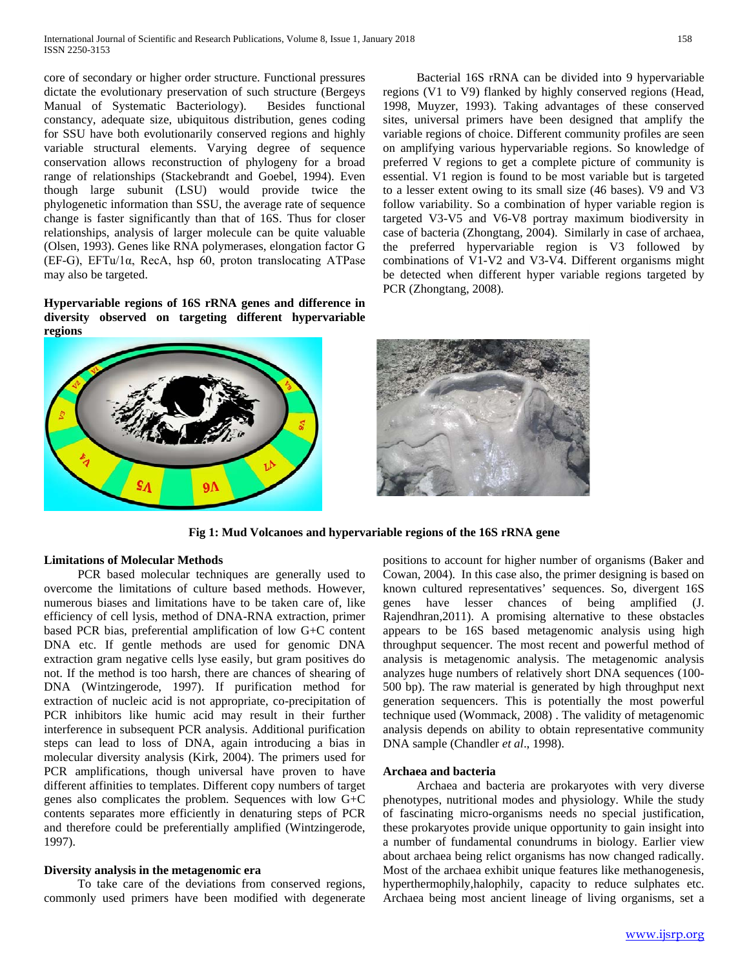core of secondary or higher order structure. Functional pressures dictate the evolutionary preservation of such structure (Bergeys Manual of Systematic Bacteriology). Besides functional constancy, adequate size, ubiquitous distribution, genes coding for SSU have both evolutionarily conserved regions and highly variable structural elements. Varying degree of sequence conservation allows reconstruction of phylogeny for a broad range of relationships (Stackebrandt and Goebel, 1994). Even though large subunit (LSU) would provide twice the phylogenetic information than SSU, the average rate of sequence change is faster significantly than that of 16S. Thus for closer relationships, analysis of larger molecule can be quite valuable (Olsen, 1993). Genes like RNA polymerases, elongation factor G (EF-G), EFTu/1α, RecA, hsp 60, proton translocating ATPase may also be targeted.

**Hypervariable regions of 16S rRNA genes and difference in diversity observed on targeting different hypervariable regions**



 Bacterial 16S rRNA can be divided into 9 hypervariable regions (V1 to V9) flanked by highly conserved regions (Head, 1998, Muyzer, 1993). Taking advantages of these conserved sites, universal primers have been designed that amplify the variable regions of choice. Different community profiles are seen on amplifying various hypervariable regions. So knowledge of preferred V regions to get a complete picture of community is essential. V1 region is found to be most variable but is targeted to a lesser extent owing to its small size (46 bases). V9 and V3 follow variability. So a combination of hyper variable region is targeted V3-V5 and V6-V8 portray maximum biodiversity in case of bacteria (Zhongtang, 2004). Similarly in case of archaea, the preferred hypervariable region is V3 followed by combinations of V1-V2 and V3-V4. Different organisms might be detected when different hyper variable regions targeted by PCR (Zhongtang, 2008).



**Fig 1: Mud Volcanoes and hypervariable regions of the 16S rRNA gene**

## **Limitations of Molecular Methods**

 PCR based molecular techniques are generally used to overcome the limitations of culture based methods. However, numerous biases and limitations have to be taken care of, like efficiency of cell lysis, method of DNA-RNA extraction, primer based PCR bias, preferential amplification of low G+C content DNA etc. If gentle methods are used for genomic DNA extraction gram negative cells lyse easily, but gram positives do not. If the method is too harsh, there are chances of shearing of DNA (Wintzingerode, 1997). If purification method for extraction of nucleic acid is not appropriate, co-precipitation of PCR inhibitors like humic acid may result in their further interference in subsequent PCR analysis. Additional purification steps can lead to loss of DNA, again introducing a bias in molecular diversity analysis (Kirk, 2004). The primers used for PCR amplifications, though universal have proven to have different affinities to templates. Different copy numbers of target genes also complicates the problem. Sequences with low G+C contents separates more efficiently in denaturing steps of PCR and therefore could be preferentially amplified (Wintzingerode, 1997).

## **Diversity analysis in the metagenomic era**

 To take care of the deviations from conserved regions, commonly used primers have been modified with degenerate positions to account for higher number of organisms (Baker and Cowan, 2004). In this case also, the primer designing is based on known cultured representatives' sequences. So, divergent 16S genes have lesser chances of being amplified (J. Rajendhran,2011). A promising alternative to these obstacles appears to be 16S based metagenomic analysis using high throughput sequencer. The most recent and powerful method of analysis is metagenomic analysis. The metagenomic analysis analyzes huge numbers of relatively short DNA sequences (100- 500 bp). The raw material is generated by high throughput next generation sequencers. This is potentially the most powerful technique used (Wommack, 2008) . The validity of metagenomic analysis depends on ability to obtain representative community DNA sample (Chandler *et al*., 1998).

## **Archaea and bacteria**

 Archaea and bacteria are prokaryotes with very diverse phenotypes, nutritional modes and physiology. While the study of fascinating micro-organisms needs no special justification, these prokaryotes provide unique opportunity to gain insight into a number of fundamental conundrums in biology. Earlier view about archaea being relict organisms has now changed radically. Most of the archaea exhibit unique features like methanogenesis, hyperthermophily,halophily, capacity to reduce sulphates etc. Archaea being most ancient lineage of living organisms, set a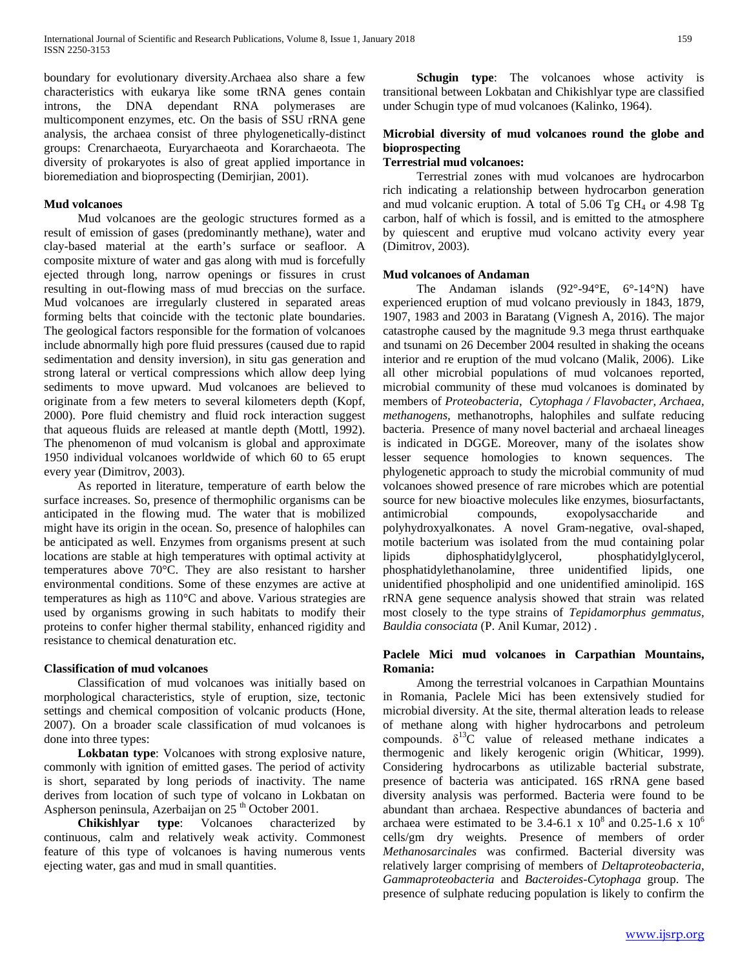boundary for evolutionary diversity.Archaea also share a few characteristics with eukarya like some tRNA genes contain introns, the DNA dependant RNA polymerases are multicomponent enzymes, etc. On the basis of SSU rRNA gene analysis, the archaea consist of three phylogenetically-distinct groups: Crenarchaeota, Euryarchaeota and Korarchaeota. The diversity of prokaryotes is also of great applied importance in bioremediation and bioprospecting (Demirjian, 2001).

## **Mud volcanoes**

 Mud volcanoes are the geologic structures formed as a result of emission of gases (predominantly methane), water and clay-based material at the earth's surface or seafloor. A composite mixture of water and gas along with mud is forcefully ejected through long, narrow openings or fissures in crust resulting in out-flowing mass of mud breccias on the surface. Mud volcanoes are irregularly clustered in separated areas forming belts that coincide with the tectonic plate boundaries. The geological factors responsible for the formation of volcanoes include abnormally high pore fluid pressures (caused due to rapid sedimentation and density inversion), in situ gas generation and strong lateral or vertical compressions which allow deep lying sediments to move upward. Mud volcanoes are believed to originate from a few meters to several kilometers depth (Kopf, 2000). Pore fluid chemistry and fluid rock interaction suggest that aqueous fluids are released at mantle depth (Mottl, 1992). The phenomenon of mud volcanism is global and approximate 1950 individual volcanoes worldwide of which 60 to 65 erupt every year (Dimitrov, 2003).

 As reported in literature, temperature of earth below the surface increases. So, presence of thermophilic organisms can be anticipated in the flowing mud. The water that is mobilized might have its origin in the ocean. So, presence of halophiles can be anticipated as well. Enzymes from organisms present at such locations are stable at high temperatures with optimal activity at temperatures above 70°C. They are also resistant to harsher environmental conditions. Some of these enzymes are active at temperatures as high as 110°C and above. Various strategies are used by organisms growing in such habitats to modify their proteins to confer higher thermal stability, enhanced rigidity and resistance to chemical denaturation etc.

#### **Classification of mud volcanoes**

 Classification of mud volcanoes was initially based on morphological characteristics, style of eruption, size, tectonic settings and chemical composition of volcanic products (Hone, 2007). On a broader scale classification of mud volcanoes is done into three types:

 **Lokbatan type**: Volcanoes with strong explosive nature, commonly with ignition of emitted gases. The period of activity is short, separated by long periods of inactivity. The name derives from location of such type of volcano in Lokbatan on Aspherson peninsula, Azerbaijan on  $25<sup>th</sup>$  October 2001.

 **Chikishlyar type**: Volcanoes characterized by continuous, calm and relatively weak activity. Commonest feature of this type of volcanoes is having numerous vents ejecting water, gas and mud in small quantities.

**Schugin type:** The volcanoes whose activity is transitional between Lokbatan and Chikishlyar type are classified under Schugin type of mud volcanoes (Kalinko, 1964).

# **Microbial diversity of mud volcanoes round the globe and bioprospecting**

# **Terrestrial mud volcanoes:**

 Terrestrial zones with mud volcanoes are hydrocarbon rich indicating a relationship between hydrocarbon generation and mud volcanic eruption. A total of  $5.06$  Tg CH<sub>4</sub> or  $4.98$  Tg carbon, half of which is fossil, and is emitted to the atmosphere by quiescent and eruptive mud volcano activity every year (Dimitrov, 2003).

# **Mud volcanoes of Andaman**

 The Andaman islands (92°-94°E, 6°-14°N) have experienced eruption of mud volcano previously in 1843, 1879, 1907, 1983 and 2003 in Baratang (Vignesh A, 2016). The major catastrophe caused by the magnitude 9.3 mega thrust earthquake and tsunami on 26 December 2004 resulted in shaking the oceans interior and re eruption of the mud volcano (Malik, 2006). Like all other microbial populations of mud volcanoes reported, microbial community of these mud volcanoes is dominated by members of *Proteobacteria*, *Cytophaga / Flavobacter, Archaea, methanogens,* methanotrophs, halophiles and sulfate reducing bacteria. Presence of many novel bacterial and archaeal lineages is indicated in DGGE. Moreover, many of the isolates show lesser sequence homologies to known sequences. The phylogenetic approach to study the microbial community of mud volcanoes showed presence of rare microbes which are potential source for new bioactive molecules like enzymes, biosurfactants, antimicrobial compounds, exopolysaccharide and polyhydroxyalkonates. A novel Gram-negative, oval-shaped, motile bacterium was isolated from the mud containing polar lipids diphosphatidylglycerol, phosphatidylglycerol, phosphatidylethanolamine, three unidentified lipids, one unidentified phospholipid and one unidentified aminolipid. 16S rRNA gene sequence analysis showed that strain was related most closely to the type strains of *Tepidamorphus gemmatus, Bauldia consociata* (P. Anil Kumar, 2012) .

#### **Paclele Mici mud volcanoes in Carpathian Mountains, Romania:**

 Among the terrestrial volcanoes in Carpathian Mountains in Romania, Paclele Mici has been extensively studied for microbial diversity. At the site, thermal alteration leads to release of methane along with higher hydrocarbons and petroleum compounds.  $\delta^{13}$ C value of released methane indicates a thermogenic and likely kerogenic origin (Whiticar, 1999). Considering hydrocarbons as utilizable bacterial substrate, presence of bacteria was anticipated. 16S rRNA gene based diversity analysis was performed. Bacteria were found to be abundant than archaea. Respective abundances of bacteria and archaea were estimated to be 3.4-6.1 x  $10^8$  and 0.25-1.6 x  $10^6$ cells/gm dry weights. Presence of members of order *Methanosarcinales* was confirmed. Bacterial diversity was relatively larger comprising of members of *Deltaproteobacteria, Gammaproteobacteria* and *Bacteroides-Cytophaga* group. The presence of sulphate reducing population is likely to confirm the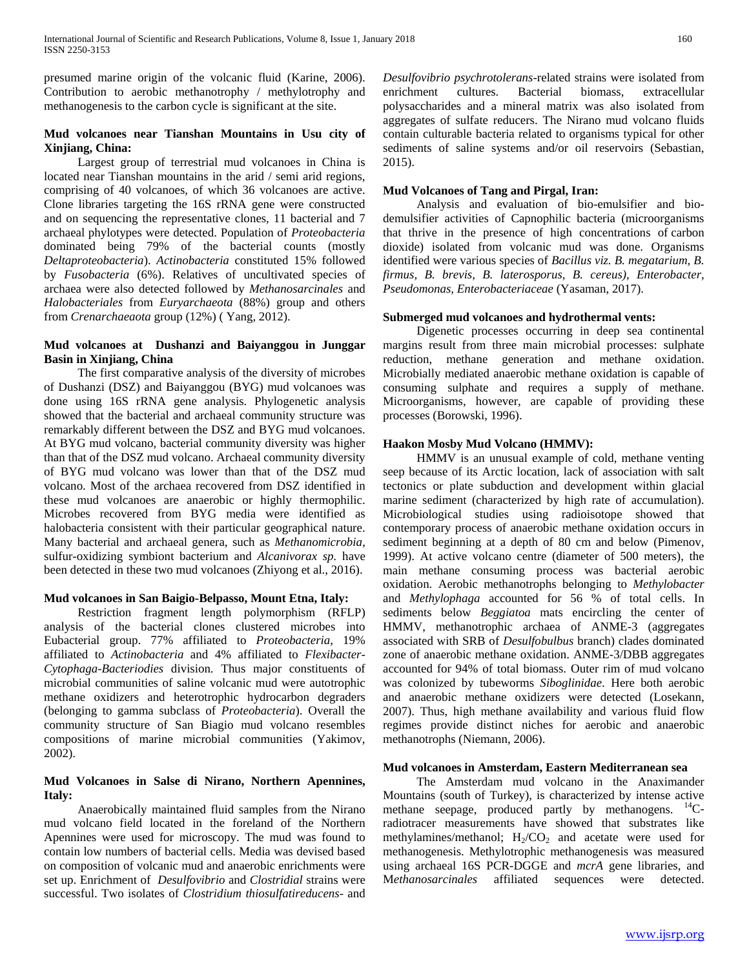presumed marine origin of the volcanic fluid (Karine, 2006). Contribution to aerobic methanotrophy / methylotrophy and methanogenesis to the carbon cycle is significant at the site.

## **Mud volcanoes near Tianshan Mountains in Usu city of Xinjiang, China:**

 Largest group of terrestrial mud volcanoes in China is located near Tianshan mountains in the arid / semi arid regions, comprising of 40 volcanoes, of which 36 volcanoes are active. Clone libraries targeting the 16S rRNA gene were constructed and on sequencing the representative clones, 11 bacterial and 7 archaeal phylotypes were detected. Population of *Proteobacteria* dominated being 79% of the bacterial counts (mostly *Deltaproteobacteria*). *Actinobacteria* constituted 15% followed by *Fusobacteria* (6%). Relatives of uncultivated species of archaea were also detected followed by *Methanosarcinales* and *Halobacteriales* from *Euryarchaeota* (88%) group and others from *Crenarchaeaota* group (12%) ( Yang, 2012).

# **Mud volcanoes at Dushanzi and Baiyanggou in Junggar Basin in Xinjiang, China**

 The first comparative analysis of the diversity of microbes of Dushanzi (DSZ) and Baiyanggou (BYG) mud volcanoes was done using 16S rRNA gene analysis. Phylogenetic analysis showed that the bacterial and archaeal community structure was remarkably different between the DSZ and BYG mud volcanoes. At BYG mud volcano, bacterial community diversity was higher than that of the DSZ mud volcano. Archaeal community diversity of BYG mud volcano was lower than that of the DSZ mud volcano. Most of the archaea recovered from DSZ identified in these mud volcanoes are anaerobic or highly thermophilic. Microbes recovered from BYG media were identified as halobacteria consistent with their particular geographical nature. Many bacterial and archaeal genera, such as *Methanomicrobia*, sulfur-oxidizing symbiont bacterium and *Alcanivorax sp.* have been detected in these two mud volcanoes (Zhiyong et al., 2016).

# **Mud volcanoes in San Baigio-Belpasso, Mount Etna, Italy:**

 Restriction fragment length polymorphism (RFLP) analysis of the bacterial clones clustered microbes into Eubacterial group. 77% affiliated to *Proteobacteria*, 19% affiliated to *Actinobacteria* and 4% affiliated to *Flexibacter-Cytophaga-Bacteriodies* division. Thus major constituents of microbial communities of saline volcanic mud were autotrophic methane oxidizers and heterotrophic hydrocarbon degraders (belonging to gamma subclass of *Proteobacteria*). Overall the community structure of San Biagio mud volcano resembles compositions of marine microbial communities (Yakimov, 2002).

## **Mud Volcanoes in Salse di Nirano, Northern Apennines, Italy:**

 Anaerobically maintained fluid samples from the Nirano mud volcano field located in the foreland of the Northern Apennines were used for microscopy. The mud was found to contain low numbers of bacterial cells. Media was devised based on composition of volcanic mud and anaerobic enrichments were set up. Enrichment of *Desulfovibrio* and *Clostridial* strains were successful. Two isolates of *Clostridium thiosulfatireducens*- and *Desulfovibrio psychrotolerans*-related strains were isolated from enrichment cultures. Bacterial biomass, extracellular polysaccharides and a mineral matrix was also isolated from aggregates of sulfate reducers. The Nirano mud volcano fluids contain culturable bacteria related to organisms typical for other sediments of saline systems and/or oil reservoirs (Sebastian, 2015).

# **Mud Volcanoes of Tang and Pirgal, Iran:**

 Analysis and evaluation of bio-emulsifier and biodemulsifier activities of Capnophilic bacteria (microorganisms that thrive in the presence of high concentrations of carbon dioxide) isolated from volcanic mud was done. Organisms identified were various species of *Bacillus viz. B. megatarium, B. firmus, B. brevis, B. laterosporus, B. cereus), Enterobacter, Pseudomonas, Enterobacteriaceae* (Yasaman, 2017).

# **Submerged mud volcanoes and hydrothermal vents:**

 Digenetic processes occurring in deep sea continental margins result from three main microbial processes: sulphate reduction, methane generation and methane oxidation. Microbially mediated anaerobic methane oxidation is capable of consuming sulphate and requires a supply of methane. Microorganisms, however, are capable of providing these processes (Borowski, 1996).

# **Haakon Mosby Mud Volcano (HMMV):**

 HMMV is an unusual example of cold, methane venting seep because of its Arctic location, lack of association with salt tectonics or plate subduction and development within glacial marine sediment (characterized by high rate of accumulation). Microbiological studies using radioisotope showed that contemporary process of anaerobic methane oxidation occurs in sediment beginning at a depth of 80 cm and below (Pimenov, 1999). At active volcano centre (diameter of 500 meters), the main methane consuming process was bacterial aerobic oxidation. Aerobic methanotrophs belonging to *Methylobacter* and *Methylophaga* accounted for 56 % of total cells. In sediments below *Beggiatoa* mats encircling the center of HMMV, methanotrophic archaea of ANME-3 (aggregates associated with SRB of *Desulfobulbus* branch) clades dominated zone of anaerobic methane oxidation. ANME-3/DBB aggregates accounted for 94% of total biomass. Outer rim of mud volcano was colonized by tubeworms *Siboglinidae*. Here both aerobic and anaerobic methane oxidizers were detected (Losekann, 2007). Thus, high methane availability and various fluid flow regimes provide distinct niches for aerobic and anaerobic methanotrophs (Niemann, 2006).

## **Mud volcanoes in Amsterdam, Eastern Mediterranean sea**

 The Amsterdam mud volcano in the Anaximander Mountains (south of Turkey), is characterized by intense active methane seepage, produced partly by methanogens.  $^{14}C$ radiotracer measurements have showed that substrates like methylamines/methanol;  $H_2/CO_2$  and acetate were used for methanogenesis. Methylotrophic methanogenesis was measured using archaeal 16S PCR-DGGE and *mcrA* gene libraries, and M*ethanosarcinales* affiliated sequences were detected.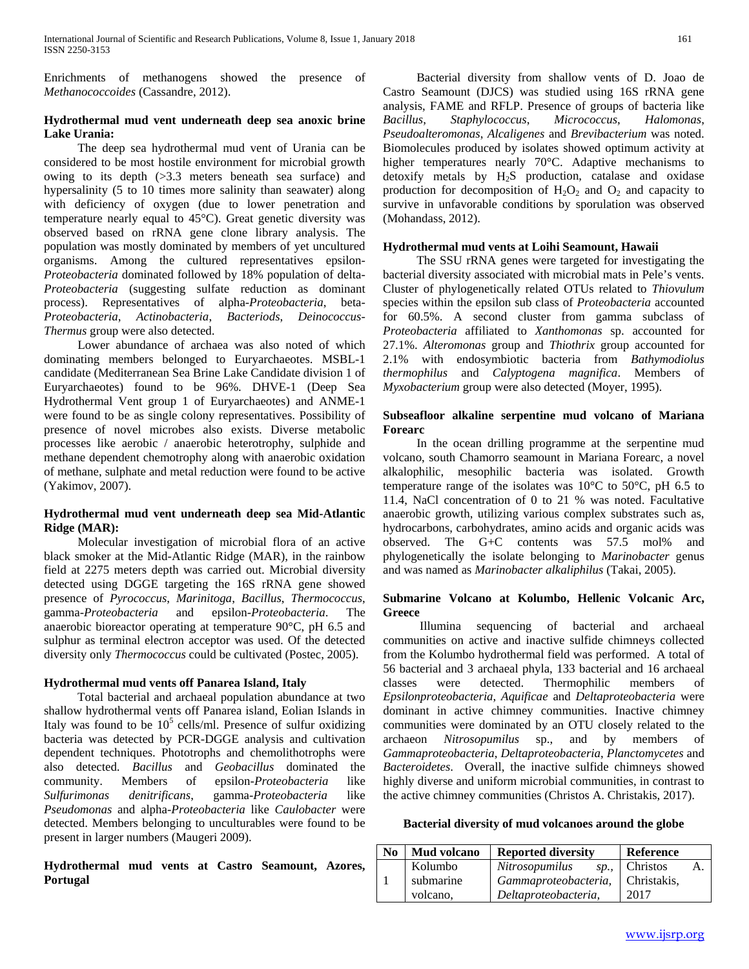Enrichments of methanogens showed the presence of *Methanococcoides* (Cassandre, 2012).

# **Hydrothermal mud vent underneath deep sea anoxic brine Lake Urania:**

 The deep sea hydrothermal mud vent of Urania can be considered to be most hostile environment for microbial growth owing to its depth (>3.3 meters beneath sea surface) and hypersalinity (5 to 10 times more salinity than seawater) along with deficiency of oxygen (due to lower penetration and temperature nearly equal to 45°C). Great genetic diversity was observed based on rRNA gene clone library analysis. The population was mostly dominated by members of yet uncultured organisms. Among the cultured representatives epsilon-*Proteobacteria* dominated followed by 18% population of delta-*Proteobacteria* (suggesting sulfate reduction as dominant process). Representatives of alpha-*Proteobacteria*, beta-*Proteobacteria*, *Actinobacteria*, *Bacteriods*, *Deinococcus-Thermus* group were also detected.

 Lower abundance of archaea was also noted of which dominating members belonged to Euryarchaeotes. MSBL-1 candidate (Mediterranean Sea Brine Lake Candidate division 1 of Euryarchaeotes) found to be 96%. DHVE-1 (Deep Sea Hydrothermal Vent group 1 of Euryarchaeotes) and ANME-1 were found to be as single colony representatives. Possibility of presence of novel microbes also exists. Diverse metabolic processes like aerobic / anaerobic heterotrophy, sulphide and methane dependent chemotrophy along with anaerobic oxidation of methane, sulphate and metal reduction were found to be active (Yakimov, 2007).

# **Hydrothermal mud vent underneath deep sea Mid-Atlantic Ridge (MAR):**

 Molecular investigation of microbial flora of an active black smoker at the Mid-Atlantic Ridge (MAR), in the rainbow field at 2275 meters depth was carried out. Microbial diversity detected using DGGE targeting the 16S rRNA gene showed presence of *Pyrococcus*, *Marinitoga*, *Bacillus*, *Thermococcus*, gamma-*Proteobacteria* and epsilon-*Proteobacteria*. The anaerobic bioreactor operating at temperature 90°C, pH 6.5 and sulphur as terminal electron acceptor was used. Of the detected diversity only *Thermococcus* could be cultivated (Postec, 2005).

# **Hydrothermal mud vents off Panarea Island, Italy**

 Total bacterial and archaeal population abundance at two shallow hydrothermal vents off Panarea island, Eolian Islands in Italy was found to be  $10<sup>5</sup>$  cells/ml. Presence of sulfur oxidizing bacteria was detected by PCR-DGGE analysis and cultivation dependent techniques. Phototrophs and chemolithotrophs were also detected. *Bacillus* and *Geobacillus* dominated the community. Members of epsilon-*Proteobacteria* like *Sulfurimonas denitrificans*, gamma-*Proteobacteria* like *Pseudomonas* and alpha-*Proteobacteria* like *Caulobacter* were detected. Members belonging to unculturables were found to be present in larger numbers (Maugeri 2009).

**Hydrothermal mud vents at Castro Seamount, Azores, Portugal**

 Bacterial diversity from shallow vents of D. Joao de Castro Seamount (DJCS) was studied using 16S rRNA gene analysis, FAME and RFLP. Presence of groups of bacteria like *Bacillus*, *Staphylococcus*, *Micrococcus*, *Halomonas*, *Pseudoalteromonas*, *Alcaligenes* and *Brevibacterium* was noted. Biomolecules produced by isolates showed optimum activity at higher temperatures nearly 70°C. Adaptive mechanisms to detoxify metals by  $H_2S$  production, catalase and oxidase production for decomposition of  $H_2O_2$  and  $O_2$  and capacity to survive in unfavorable conditions by sporulation was observed (Mohandass, 2012).

# **Hydrothermal mud vents at Loihi Seamount, Hawaii**

 The SSU rRNA genes were targeted for investigating the bacterial diversity associated with microbial mats in Pele's vents. Cluster of phylogenetically related OTUs related to *Thiovulum* species within the epsilon sub class of *Proteobacteria* accounted for 60.5%. A second cluster from gamma subclass of *Proteobacteria* affiliated to *Xanthomonas* sp. accounted for 27.1%. *Alteromonas* group and *Thiothrix* group accounted for 2.1% with endosymbiotic bacteria from *Bathymodiolus thermophilus* and *Calyptogena magnifica*. Members of *Myxobacterium* group were also detected (Moyer, 1995).

# **Subseafloor alkaline serpentine mud volcano of Mariana Forearc**

 In the ocean drilling programme at the serpentine mud volcano, south Chamorro seamount in Mariana Forearc, a novel alkalophilic, mesophilic bacteria was isolated. Growth temperature range of the isolates was  $10^{\circ}$ C to  $50^{\circ}$ C, pH 6.5 to 11.4, NaCl concentration of 0 to 21 % was noted. Facultative anaerobic growth, utilizing various complex substrates such as, hydrocarbons, carbohydrates, amino acids and organic acids was observed. The G+C contents was 57.5 mol% and phylogenetically the isolate belonging to *Marinobacter* genus and was named as *Marinobacter alkaliphilus* (Takai, 2005).

# **Submarine Volcano at Kolumbo, Hellenic Volcanic Arc, Greece**

 Illumina sequencing of bacterial and archaeal communities on active and inactive sulfide chimneys collected from the Kolumbo hydrothermal field was performed. A total of 56 bacterial and 3 archaeal phyla, 133 bacterial and 16 archaeal classes were detected. Thermophilic members of *Epsilonproteobacteria*, *Aquificae* and *Deltaproteobacteria* were dominant in active chimney communities. Inactive chimney communities were dominated by an OTU closely related to the archaeon *Nitrosopumilus* sp., and by members of *Gammaproteobacteria*, *Deltaproteobacteria*, *Planctomycetes* and *Bacteroidetes*. Overall, the inactive sulfide chimneys showed highly diverse and uniform microbial communities, in contrast to the active chimney communities (Christos A. Christakis, 2017).

## **Bacterial diversity of mud volcanoes around the globe**

| No. | Mud volcano | <b>Reported diversity</b> | <b>Reference</b> |  |
|-----|-------------|---------------------------|------------------|--|
|     | Kolumbo     | Nitrosopumilus<br>sp.,    | Christos<br>A.   |  |
|     | submarine   | Gammaproteobacteria,      | Christakis.      |  |
|     | volcano.    | Deltaproteobacteria,      | 2017             |  |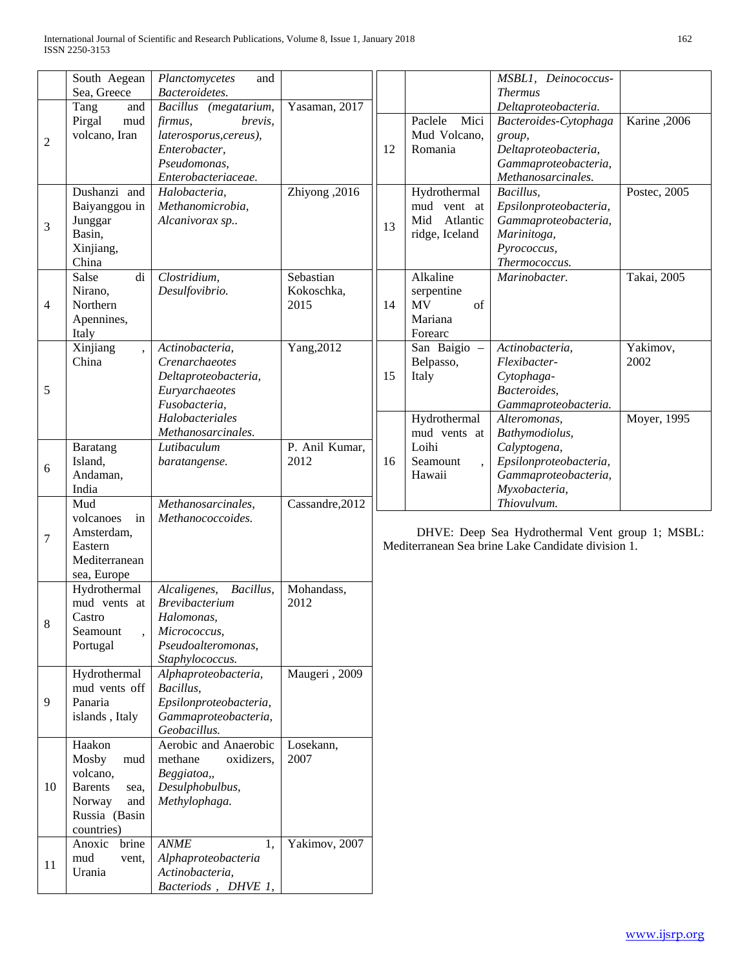|                | South Aegean<br>Sea, Greece                                                                                  | Planctomycetes<br>and<br>Bacteroidetes.                                                                                       |                                 |    |                                                                  | MSBL1, Deinococcus-<br><b>Thermus</b>                                                                                         |                                 |
|----------------|--------------------------------------------------------------------------------------------------------------|-------------------------------------------------------------------------------------------------------------------------------|---------------------------------|----|------------------------------------------------------------------|-------------------------------------------------------------------------------------------------------------------------------|---------------------------------|
| $\overline{c}$ | Tang<br>and<br>Pirgal<br>mud<br>volcano, Iran                                                                | Bacillus (megatarium,<br>firmus,<br>brevis,<br>laterosporus, cereus),<br>Enterobacter,<br>Pseudomonas,<br>Enterobacteriaceae. | Yasaman, 2017                   | 12 | Paclele<br>Mici<br>Mud Volcano,<br>Romania                       | Deltaproteobacteria.<br>Bacteroides-Cytophaga<br>group,<br>Deltaproteobacteria,<br>Gammaproteobacteria,<br>Methanosarcinales. | Karine, 2006                    |
| 3              | Dushanzi and<br>Baiyanggou in<br>Junggar<br>Basin,<br>Xinjiang,<br>China                                     | Halobacteria,<br>Methanomicrobia,<br>Alcanivorax sp                                                                           | Zhiyong, 2016                   | 13 | Hydrothermal<br>mud vent at<br>Atlantic<br>Mid<br>ridge, Iceland | Bacillus,<br>Epsilonproteobacteria,<br>Gammaproteobacteria,<br>Marinitoga,<br>Pyrococcus,<br>Thermococcus.                    | Postec, 2005                    |
| 4              | Salse<br>di<br>Nirano,<br>Northern<br>Apennines,<br>Italy                                                    | Clostridium,<br>Desulfovibrio.                                                                                                | Sebastian<br>Kokoschka,<br>2015 | 14 | Alkaline<br>serpentine<br><b>MV</b><br>of<br>Mariana<br>Forearc  | Marinobacter.                                                                                                                 | Takai, 2005                     |
| 5              | Xinjiang<br>China                                                                                            | Actinobacteria,<br>Crenarchaeotes<br>Deltaproteobacteria,<br>Euryarchaeotes<br>Fusobacteria,<br>Halobacteriales               | Yang, 2012                      | 15 | San Baigio -<br>Belpasso,<br>Italy<br>Hydrothermal               | Actinobacteria,<br>Flexibacter-<br>Cytophaga-<br>Bacteroides,<br>Gammaproteobacteria.<br>Alteromonas,                         | Yakimov,<br>2002<br>Moyer, 1995 |
| 6              | Baratang<br>Island,<br>Andaman,<br>India                                                                     | Methanosarcinales.<br>Lutibaculum<br>baratangense.                                                                            | P. Anil Kumar,<br>2012          | 16 | mud vents at<br>Loihi<br>Seamount<br>Hawaii                      | Bathymodiolus,<br>Calyptogena,<br>Epsilonproteobacteria,<br>Gammaproteobacteria,<br>Myxobacteria,                             |                                 |
| 7              | Mud<br>volcanoes<br>in<br>Amsterdam,<br>Eastern<br>Mediterranean<br>sea, Europe                              | Methanosarcinales,<br>Methanococcoides.                                                                                       | Cassandre, 2012                 |    |                                                                  | Thiovulvum.<br>DHVE: Deep Sea Hydrothermal Vent group 1; MSBL:<br>Mediterranean Sea brine Lake Candidate division 1.          |                                 |
| 8              | Hydrothermal<br>mud vents at<br>Castro<br>Seamount<br>Portugal                                               | Alcaligenes,<br>Bacillus,<br><b>Brevibacterium</b><br>Halomonas,<br>Micrococcus,<br>Pseudoalteromonas,<br>Staphylococcus.     | Mohandass,<br>2012              |    |                                                                  |                                                                                                                               |                                 |
| 9              | Hydrothermal<br>mud vents off<br>Panaria<br>islands, Italy                                                   | Alphaproteobacteria,<br>Bacillus,<br>Epsilonproteobacteria,<br>Gammaproteobacteria,<br>Geobacillus.                           | Maugeri, 2009                   |    |                                                                  |                                                                                                                               |                                 |
| 10             | Haakon<br>Mosby<br>mud<br>volcano,<br><b>Barents</b><br>sea,<br>Norway<br>and<br>Russia (Basin<br>countries) | Aerobic and Anaerobic<br>methane<br>oxidizers,<br>Beggiatoa,,<br>Desulphobulbus,<br>Methylophaga.                             | Losekann,<br>2007               |    |                                                                  |                                                                                                                               |                                 |
| 11             | brine<br>Anoxic<br>mud<br>vent,<br>Urania                                                                    | <b>ANME</b><br>1.<br>Alphaproteobacteria<br>Actinobacteria,<br>Bacteriods, DHVE 1,                                            | Yakimov, 2007                   |    |                                                                  |                                                                                                                               |                                 |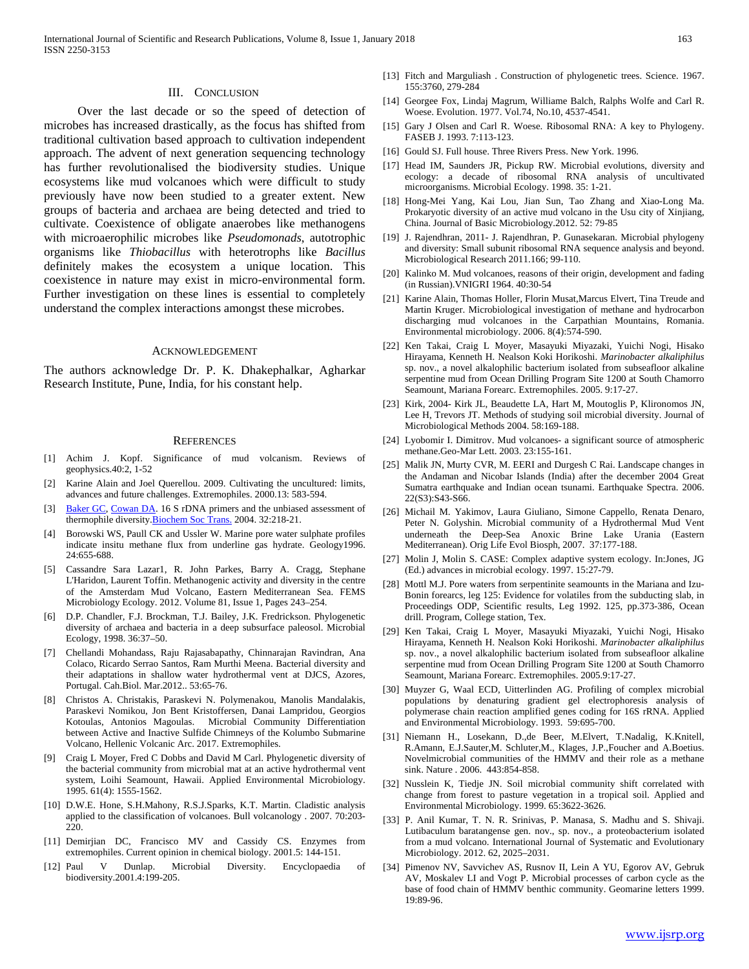#### III. CONCLUSION

 Over the last decade or so the speed of detection of microbes has increased drastically, as the focus has shifted from traditional cultivation based approach to cultivation independent approach. The advent of next generation sequencing technology has further revolutionalised the biodiversity studies. Unique ecosystems like mud volcanoes which were difficult to study previously have now been studied to a greater extent. New groups of bacteria and archaea are being detected and tried to cultivate. Coexistence of obligate anaerobes like methanogens with microaerophilic microbes like *Pseudomonads*, autotrophic organisms like *Thiobacillus* with heterotrophs like *Bacillus* definitely makes the ecosystem a unique location. This coexistence in nature may exist in micro-environmental form. Further investigation on these lines is essential to completely understand the complex interactions amongst these microbes.

#### ACKNOWLEDGEMENT

The authors acknowledge Dr. P. K. Dhakephalkar, Agharkar Research Institute, Pune, India, for his constant help.

#### **REFERENCES**

- [1] Achim J. Kopf. Significance of mud volcanism. Reviews of geophysics.40:2, 1-52
- [2] Karine Alain and Joel Querellou. 2009. Cultivating the uncultured: limits, advances and future challenges. Extremophiles. 2000.13: 583-594.
- [3] [Baker GC,](https://www.ncbi.nlm.nih.gov/pubmed/?term=Baker%20GC%5bAuthor%5d&cauthor=true&cauthor_uid=15046575) [Cowan DA.](https://www.ncbi.nlm.nih.gov/pubmed/?term=Cowan%20DA%5bAuthor%5d&cauthor=true&cauthor_uid=15046575) 16 S rDNA primers and the unbiased assessment of thermophile diversity.**Biochem Soc Trans.** 2004. 32:218-21.
- [4] Borowski WS, Paull CK and Ussler W. Marine pore water sulphate profiles indicate insitu methane flux from underline gas hydrate. Geology1996. 24:655-688.
- [5] Cassandre Sara Lazar1, R. John Parkes, Barry A. Cragg, Stephane L'Haridon, Laurent Toffin. Methanogenic activity and diversity in the centre of the Amsterdam Mud Volcano, Eastern Mediterranean Sea. FEMS Microbiology Ecology. 2012. Volume 81, Issue 1, Pages 243–254.
- [6] D.P. Chandler, F.J. Brockman, T.J. Bailey, J.K. Fredrickson. Phylogenetic diversity of archaea and bacteria in a deep subsurface paleosol. Microbial Ecology, 1998. 36:37–50.
- [7] Chellandi Mohandass, Raju Rajasabapathy, Chinnarajan Ravindran, Ana Colaco, Ricardo Serrao Santos, Ram Murthi Meena. Bacterial diversity and their adaptations in shallow water hydrothermal vent at DJCS, Azores, Portugal. Cah.Biol. Mar.2012.. 53:65-76.
- [8] Christos A. Christakis, Paraskevi N. Polymenakou, Manolis Mandalakis, Paraskevi Nomikou, Jon Bent Kristoffersen, Danai Lampridou, Georgios Kotoulas, Antonios Magoulas. Microbial Community Differentiation between Active and Inactive Sulfide Chimneys of the Kolumbo Submarine Volcano, Hellenic Volcanic Arc. 2017. Extremophiles.
- [9] Craig L Moyer, Fred C Dobbs and David M Carl. Phylogenetic diversity of the bacterial community from microbial mat at an active hydrothermal vent system, Loihi Seamount, Hawaii. Applied Environmental Microbiology. 1995. 61(4): 1555-1562.
- [10] D.W.E. Hone, S.H.Mahony, R.S.J.Sparks, K.T. Martin. Cladistic analysis applied to the classification of volcanoes. Bull volcanology . 2007. 70:203- 220.
- [11] Demirjian DC, Francisco MV and Cassidy CS. Enzymes from extremophiles. Current opinion in chemical biology. 2001.5: 144-151.
- [12] Paul V Dunlap. Microbial Diversity. Encyclopaedia of biodiversity.2001.4:199-205.
- [13] Fitch and Marguliash. Construction of phylogenetic trees. Science. 1967. 155:3760, 279-284
- [14] Georgee Fox, Lindaj Magrum, Williame Balch, Ralphs Wolfe and Carl R. Woese. Evolution. 1977. Vol.74, No.10, 4537-4541.
- [15] Gary J Olsen and Carl R. Woese. Ribosomal RNA: A key to Phylogeny. FASEB J. 1993. 7:113-123.
- [16] Gould SJ. Full house. Three Rivers Press. New York. 1996.
- [17] Head IM, Saunders JR, Pickup RW. Microbial evolutions, diversity and ecology: a decade of ribosomal RNA analysis of uncultivated microorganisms. Microbial Ecology. 1998. 35: 1-21.
- [18] Hong-Mei Yang, Kai Lou, Jian Sun, Tao Zhang and Xiao-Long Ma. Prokaryotic diversity of an active mud volcano in the Usu city of Xinjiang, China. Journal of Basic Microbiology.2012. 52: 79-85
- [19] J. Rajendhran, 2011- J. Rajendhran, P. Gunasekaran. Microbial phylogeny and diversity: Small subunit ribosomal RNA sequence analysis and beyond. Microbiological Research 2011.166; 99-110.
- [20] Kalinko M. Mud volcanoes, reasons of their origin, development and fading (in Russian).VNIGRI 1964. 40:30-54
- [21] Karine Alain, Thomas Holler, Florin Musat,Marcus Elvert, Tina Treude and Martin Kruger. Microbiological investigation of methane and hydrocarbon discharging mud volcanoes in the Carpathian Mountains, Romania. Environmental microbiology. 2006. 8(4):574-590.
- [22] Ken Takai, Craig L Moyer, Masayuki Miyazaki, Yuichi Nogi, Hisako Hirayama, Kenneth H. Nealson Koki Horikoshi. *Marinobacter alkaliphilus* sp. nov., a novel alkalophilic bacterium isolated from subseafloor alkaline serpentine mud from Ocean Drilling Program Site 1200 at South Chamorro Seamount, Mariana Forearc. Extremophiles. 2005. 9:17-27.
- [23] Kirk, 2004- Kirk JL, Beaudette LA, Hart M, Moutoglis P, Klironomos JN, Lee H, Trevors JT. Methods of studying soil microbial diversity. Journal of Microbiological Methods 2004. 58:169-188.
- [24] Lyobomir I. Dimitrov. Mud volcanoes- a significant source of atmospheric methane.Geo-Mar Lett. 2003. 23:155-161.
- [25] Malik JN, Murty CVR, M. EERI and Durgesh C Rai. Landscape changes in the Andaman and Nicobar Islands (India) after the december 2004 Great Sumatra earthquake and Indian ocean tsunami. Earthquake Spectra. 2006. 22(S3):S43-S66.
- [26] Michail M. Yakimov, Laura Giuliano, Simone Cappello, Renata Denaro, Peter N. Golyshin. Microbial community of a Hydrothermal Mud Vent underneath the Deep-Sea Anoxic Brine Lake Urania (Eastern Mediterranean). Orig Life Evol Biosph, 2007. 37:177-188.
- [27] Molin J, Molin S. CASE: Complex adaptive system ecology. In:Jones, JG (Ed.) advances in microbial ecology. 1997. 15:27-79.
- [28] Mottl M.J. Pore waters from serpentinite seamounts in the Mariana and Izu-Bonin forearcs, leg 125: Evidence for volatiles from the subducting slab, in Proceedings ODP, Scientific results, Leg 1992. 125, pp.373-386, Ocean drill. Program, College station, Tex.
- [29] Ken Takai, Craig L Moyer, Masayuki Miyazaki, Yuichi Nogi, Hisako Hirayama, Kenneth H. Nealson Koki Horikoshi. *Marinobacter alkaliphilus* sp. nov., a novel alkalophilic bacterium isolated from subseafloor alkaline serpentine mud from Ocean Drilling Program Site 1200 at South Chamorro Seamount, Mariana Forearc. Extremophiles. 2005.9:17-27.
- [30] Muyzer G, Waal ECD, Uitterlinden AG. Profiling of complex microbial populations by denaturing gradient gel electrophoresis analysis of polymerase chain reaction amplified genes coding for 16S rRNA. Applied and Environmental Microbiology. 1993. 59:695-700.
- [31] Niemann H., Losekann, D.,de Beer, M.Elvert, T.Nadalig, K.Knitell, R.Amann, E.J.Sauter,M. Schluter,M., Klages, J.P.,Foucher and A.Boetius. Novelmicrobial communities of the HMMV and their role as a methane sink. Nature . 2006. 443:854-858.
- [32] Nusslein K, Tiedje JN. Soil microbial community shift correlated with change from forest to pasture vegetation in a tropical soil. Applied and Environmental Microbiology. 1999. 65:3622-3626.
- [33] P. Anil Kumar, T. N. R. Srinivas, P. Manasa, S. Madhu and S. Shivaji. Lutibaculum baratangense gen. nov., sp. nov., a proteobacterium isolated from a mud volcano. International Journal of Systematic and Evolutionary Microbiology. 2012. 62, 2025–2031.
- [34] Pimenov NV, Savvichev AS, Rusnov II, Lein A YU, Egorov AV, Gebruk AV, Moskalev LI and Vogt P. Microbial processes of carbon cycle as the base of food chain of HMMV benthic community. Geomarine letters 1999. 19:89-96.